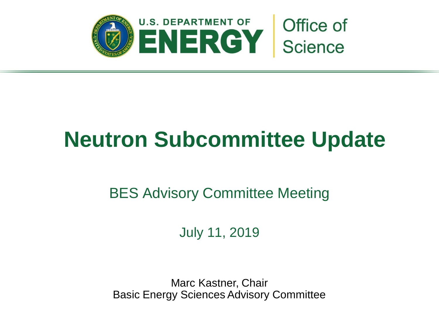

# **Neutron Subcommittee Update**

## BES Advisory Committee Meeting

July 11, 2019

Marc Kastner, Chair Basic Energy Sciences Advisory Committee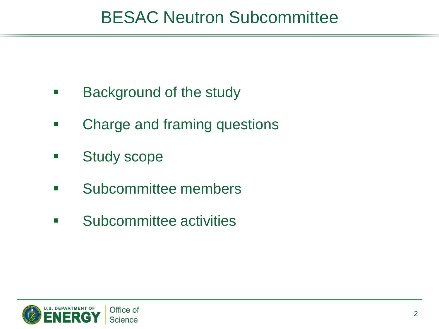# BESAC Neutron Subcommittee

- **Background of the study**
- **EXED:** Charge and framing questions
- **Study scope**
- **E** Subcommittee members
- **EXECUTE:** Subcommittee activities

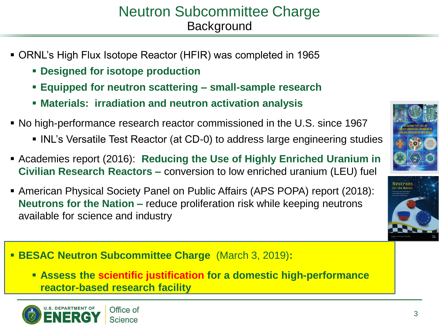### Neutron Subcommittee Charge **Background**

- ORNL's High Flux Isotope Reactor (HFIR) was completed in 1965
	- **Designed for isotope production**
	- **Equipped for neutron scattering – small-sample research**
	- **Materials: irradiation and neutron activation analysis**
- No high-performance research reactor commissioned in the U.S. since 1967
	- **INL's Versatile Test Reactor (at CD-0) to address large engineering studies**
- Academies report (2016): **Reducing the Use of Highly Enriched Uranium in Civilian Research Reactors –** conversion to low enriched uranium (LEU) fuel
- American Physical Society Panel on Public Affairs (APS POPA) report (2018): **Neutrons for the Nation –** reduce proliferation risk while keeping neutrons available for science and industry



 **Assess the scientific justification for a domestic high-performance reactor-based research facility**



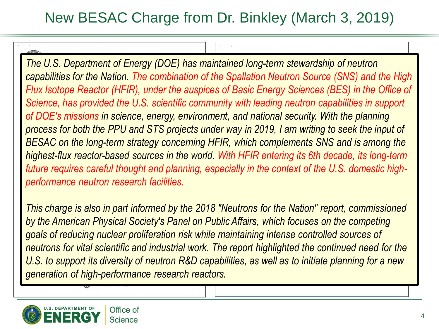## New BESAC Charge from Dr. Binkley (March 3, 2019)

*The U.S. Department of Energy (DOE) has maintained long-term stewardship of neutron capabilities for the Nation. The combination of the Spallation Neutron Source (SNS) and the High Flux Isotope Reactor (HFIR), under the auspices of Basic Energy Sciences (BES) in the Office of Science, has provided the U.S. scientific community with leading neutron capabilities in support of DOE's missions in science, energy, environment, and national security. With the planning process for both the PPU and STS projects under way in 2019, I am writing to seek the input of BESAC on the long-term strategy concerning HFIR, which complements SNS and is among the highest-flux reactor-based sources in the world. With HFIR entering its 6th decade, its long-term future requires careful thought and planning, especially in the context of the U.S. domestic highperformance neutron research facilities.* 

*This charge is also in part informed by the 2018 "Neutrons for the Nation" report, commissioned by the American Physical Society's Panel on Public Affairs, which focuses on the competing goals of reducing nuclear proliferation risk while maintaining intense controlled sources of neutrons for vital scientific and industrial work. The report highlighted the continued need for the U.S. to support its diversity of neutron R&D capabilities, as well as to initiate planning for a new generation of high-performance research reactors.* 

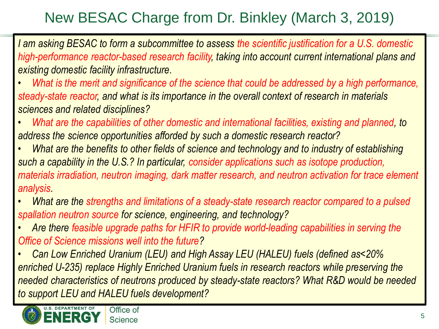# New BESAC Charge from Dr. Binkley (March 3, 2019)

*I am asking BESAC to form a subcommittee to assess the scientific justification for a U.S. domestic high-performance reactor-based research facility, taking into account current international plans and existing domestic facility infrastructure.*

*• What is the merit and significance of the science that could be addressed by a high performance, steady-state reactor, and what is its importance in the overall context of research in materials sciences and related disciplines?*

*• What are the capabilities of other domestic and international facilities, existing and planned, to address the science opportunities afforded by such a domestic research reactor?*

*• What are the benefits to other fields of science and technology and to industry of establishing such a capability in the U.S.? In particular, consider applications such as isotope production, materials irradiation, neutron imaging, dark matter research, and neutron activation for trace element analysis.*

*• What are the strengths and limitations of a steady-state research reactor compared to a pulsed spallation neutron source for science, engineering, and technology?* 

*• Are there feasible upgrade paths for HFIR to provide world-leading capabilities in serving the Office of Science missions well into the future?* 

*• Can Low Enriched Uranium (LEU) and High Assay LEU (HALEU) fuels (defined as<20% enriched U-235) replace Highly Enriched Uranium fuels in research reactors while preserving the needed characteristics of neutrons produced by steady-state reactors? What R&D would be needed to support LEU and HALEU fuels development?*

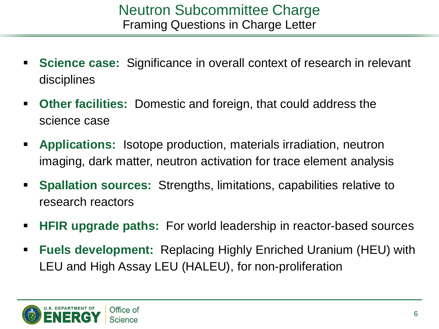- **Science case:** Significance in overall context of research in relevant disciplines
- **Other facilities:** Domestic and foreign, that could address the science case
- **Applications:** Isotope production, materials irradiation, neutron imaging, dark matter, neutron activation for trace element analysis
- **Spallation sources:** Strengths, limitations, capabilities relative to research reactors
- **HFIR upgrade paths:** For world leadership in reactor-based sources
- **Fuels development:** Replacing Highly Enriched Uranium (HEU) with LEU and High Assay LEU (HALEU), for non-proliferation

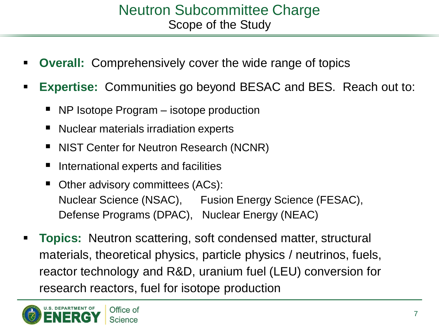#### Neutron Subcommittee Charge Scope of the Study

- **Overall:** Comprehensively cover the wide range of topics
- **Expertise:** Communities go beyond BESAC and BES. Reach out to:
	- NP Isotope Program isotope production
	- Nuclear materials irradiation experts
	- NIST Center for Neutron Research (NCNR)
	- International experts and facilities
	- Other advisory committees (ACs): Nuclear Science (NSAC), Fusion Energy Science (FESAC), Defense Programs (DPAC), Nuclear Energy (NEAC)
- **Topics:** Neutron scattering, soft condensed matter, structural materials, theoretical physics, particle physics / neutrinos, fuels, reactor technology and R&D, uranium fuel (LEU) conversion for research reactors, fuel for isotope production

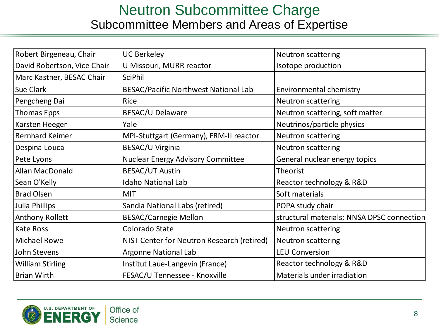#### Neutron Subcommittee Charge Subcommittee Members and Areas of Expertise

| Robert Birgeneau, Chair     | <b>UC Berkeley</b>                          | Neutron scattering                         |
|-----------------------------|---------------------------------------------|--------------------------------------------|
| David Robertson, Vice Chair | U Missouri, MURR reactor                    | Isotope production                         |
| Marc Kastner, BESAC Chair   | <b>SciPhil</b>                              |                                            |
| <b>Sue Clark</b>            | <b>BESAC/Pacific Northwest National Lab</b> | <b>Environmental chemistry</b>             |
| Pengcheng Dai               | Rice                                        | Neutron scattering                         |
| <b>Thomas Epps</b>          | BESAC/U Delaware                            | Neutron scattering, soft matter            |
| Karsten Heeger              | Yale                                        | Neutrinos/particle physics                 |
| <b>Bernhard Keimer</b>      | MPI-Stuttgart (Germany), FRM-II reactor     | Neutron scattering                         |
| Despina Louca               | BESAC/U Virginia                            | <b>Neutron scattering</b>                  |
| Pete Lyons                  | <b>Nuclear Energy Advisory Committee</b>    | General nuclear energy topics              |
| Allan MacDonald             | <b>BESAC/UT Austin</b>                      | Theorist                                   |
| Sean O'Kelly                | <b>Idaho National Lab</b>                   | Reactor technology & R&D                   |
| <b>Brad Olsen</b>           | MIT                                         | Soft materials                             |
| Julia Phillips              | Sandia National Labs (retired)              | POPA study chair                           |
| <b>Anthony Rollett</b>      | <b>BESAC/Carnegie Mellon</b>                | structural materials; NNSA DPSC connection |
| <b>Kate Ross</b>            | Colorado State                              | Neutron scattering                         |
| <b>Michael Rowe</b>         | NIST Center for Neutron Research (retired)  | Neutron scattering                         |
| John Stevens                | Argonne National Lab                        | <b>LEU Conversion</b>                      |
| <b>William Stirling</b>     | Institut Laue-Langevin (France)             | Reactor technology & R&D                   |
| <b>Brian Wirth</b>          | FESAC/U Tennessee - Knoxville               | Materials under irradiation                |